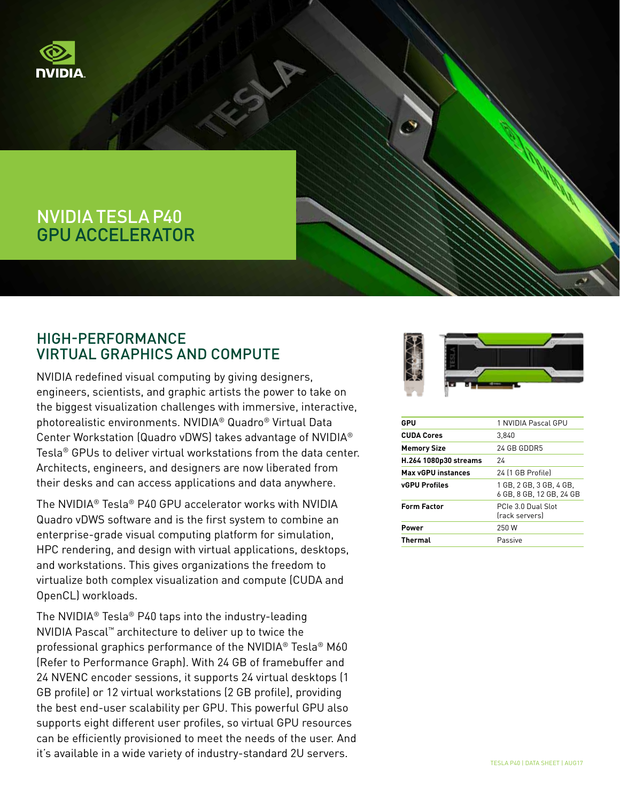

# NVIDIA TESLA P40 GPU ACCELERATOR

### HIGH-PERFORMANCE VIRTUAL GRAPHICS AND COMPUTE

NVIDIA redefined visual computing by giving designers, engineers, scientists, and graphic artists the power to take on the biggest visualization challenges with immersive, interactive, photorealistic environments. NVIDIA® Quadro® Virtual Data Center Workstation (Quadro vDWS) takes advantage of NVIDIA® Tesla® GPUs to deliver virtual workstations from the data center. Architects, engineers, and designers are now liberated from their desks and can access applications and data anywhere.

The NVIDIA® Tesla® P40 GPU accelerator works with NVIDIA Quadro vDWS software and is the first system to combine an enterprise-grade visual computing platform for simulation, HPC rendering, and design with virtual applications, desktops, and workstations. This gives organizations the freedom to virtualize both complex visualization and compute (CUDA and OpenCL) workloads.

The NVIDIA® Tesla® P40 taps into the industry-leading NVIDIA Pascal™ architecture to deliver up to twice the professional graphics performance of the NVIDIA® Tesla® M60 (Refer to Performance Graph). With 24 GB of framebuffer and 24 NVENC encoder sessions, it supports 24 virtual desktops (1 GB profile) or 12 virtual workstations (2 GB profile), providing the best end-user scalability per GPU. This powerful GPU also supports eight different user profiles, so virtual GPU resources can be efficiently provisioned to meet the needs of the user. And it's available in a wide variety of industry-standard 2U servers.



| GPU                       | 1 NVIDIA Pascal GPU                                 |
|---------------------------|-----------------------------------------------------|
| <b>CUDA Cores</b>         | 3.840                                               |
| <b>Memory Size</b>        | 24 GB GDDR5                                         |
| H.264 1080p30 streams     | 24                                                  |
| <b>Max vGPU instances</b> | 24 (1 GB Profile)                                   |
| <b>vGPU Profiles</b>      | 1 GB. 2 GB. 3 GB. 4 GB.<br>6 GB, 8 GB, 12 GB, 24 GB |
| <b>Form Factor</b>        | PCIe 3.0 Dual Slot<br>(rack servers)                |
| Power                     | 250 W                                               |
| <b>Thermal</b>            | Passive                                             |
|                           |                                                     |